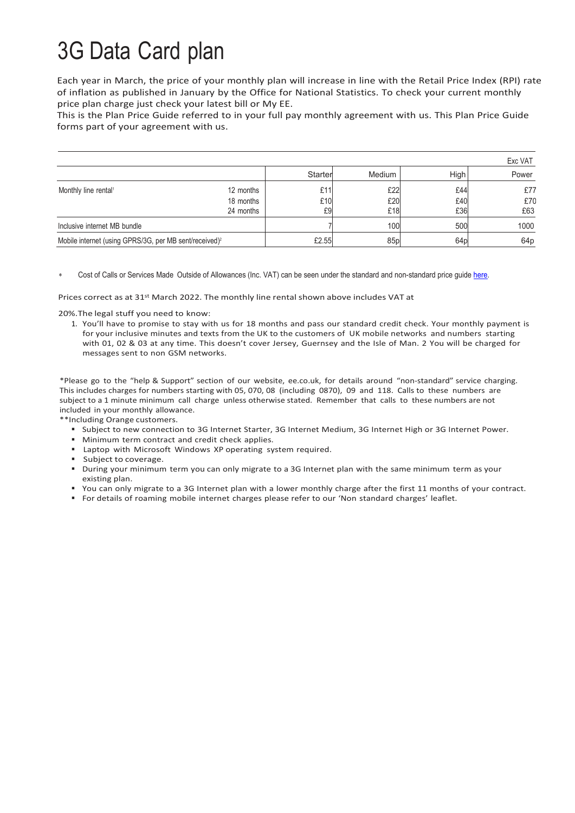## 3G Data Card plan

Each year in March, the price of your monthly plan will increase in line with the Retail Price Index (RPI) rate of inflation as published in January by the Office for National Statistics. To check your current monthly price plan charge just check your latest bill or My EE.

This is the Plan Price Guide referred to in your full pay monthly agreement with us. This Plan Price Guide forms part of your agreement with us.

|                                                                    |                        |           |                 |                 | Exc VAT         |
|--------------------------------------------------------------------|------------------------|-----------|-----------------|-----------------|-----------------|
|                                                                    |                        | Starter   | Medium          | High            | Power           |
| Monthly line rental <sup>1</sup>                                   | 12 months              | £11       | £22             | £44             | £77             |
|                                                                    | 18 months<br>24 months | £10<br>£9 | £20<br>£18      | £40<br>£36      | £70<br>£63      |
| Inclusive internet MB bundle                                       |                        |           | 100             | 500             | 1000            |
| Mobile internet (using GPRS/3G, per MB sent/received) <sup>2</sup> |                        | £2.55     | 85 <sub>p</sub> | 64 <sub>b</sub> | 64 <sub>p</sub> |

Cost of Calls or Services Made Outside of Allowances (Inc. VAT) can be seen under the standard and non-standard price quid[e here.](https://ee.co.uk/help/help-new/price-plans/legacy-brand/pay-monthly-price-plans)

Prices correct as at 31st March 2022. The monthly line rental shown above includes VAT at

20%.The legal stuff you need to know:

1. You'll have to promise to stay with us for 18 months and pass our standard credit check. Your monthly payment is for your inclusive minutes and texts from the UK to the customers of UK mobile networks and numbers starting with 01, 02 & 03 at any time. This doesn't cover Jersey, Guernsey and the Isle of Man. 2 You will be charged for messages sent to non GSM networks.

\*Please go to the "help & Support" section of our website, ee.co.uk, for details around "non-standard" service charging. This includes charges for numbers starting with 05, 070, 08 (including 0870), 09 and 118. Calls to these numbers are subject to a 1 minute minimum call charge unless otherwise stated. Remember that calls to these numbers are not included in your monthly allowance.

\*\*Including Orange customers.

- Subject to new connection to 3G Internet Starter, 3G Internet Medium, 3G Internet High or 3G Internet Power.
- **Minimum term contract and credit check applies.**
- Laptop with Microsoft Windows XP operating system required.
- Subject to coverage.
- During your minimum term you can only migrate to a 3G Internet plan with the same minimum term as your existing plan.
- You can only migrate to a 3G Internet plan with a lower monthly charge after the first 11 months of your contract.
- For details of roaming mobile internet charges please refer to our 'Non standard charges' leaflet.